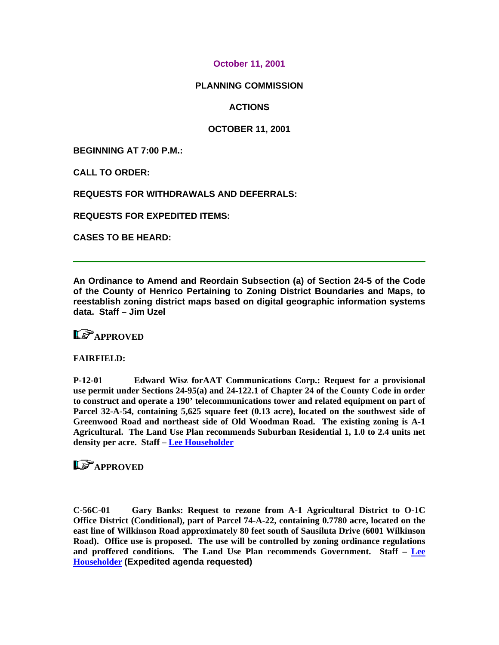### **October 11, 2001**

### **PLANNING COMMISSION**

**ACTIONS** 

### **OCTOBER 11, 2001**

**BEGINNING AT 7:00 P.M.:** 

**CALL TO ORDER:** 

**REQUESTS FOR WITHDRAWALS AND DEFERRALS:** 

**REQUESTS FOR EXPEDITED ITEMS:** 

**CASES TO BE HEARD:** 

**An Ordinance to Amend and Reordain Subsection (a) of Section 24-5 of the Code of the County of Henrico Pertaining to Zoning District Boundaries and Maps, to reestablish zoning district maps based on digital geographic information systems data. Staff – Jim Uzel**

## L**E** APPROVED

#### **FAIRFIELD:**

**P-12-01 Edward Wisz forAAT Communications Corp.: Request for a provisional use permit under Sections 24-95(a) and 24-122.1 of Chapter 24 of the County Code in order to construct and operate a 190' telecommunications tower and related equipment on part of Parcel 32-A-54, containing 5,625 square feet (0.13 acre), located on the southwest side of Greenwood Road and northeast side of Old Woodman Road. The existing zoning is A-1 Agricultural. The Land Use Plan recommends Suburban Residential 1, 1.0 to 2.4 units net density per acre. Staff – [Lee Householder](mailto:hou10@co.henrico.va.us)** 

## **LS** APPROVED

**C-56C-01 Gary Banks: Request to rezone from A-1 Agricultural District to O-1C Office District (Conditional), part of Parcel 74-A-22, containing 0.7780 acre, located on the east line of Wilkinson Road approximately 80 feet south of Sausiluta Drive (6001 Wilkinson Road). Office use is proposed. The use will be controlled by zoning ordinance regulations and proffered conditions. The Land Use Plan recommends Government. Staff – [Lee](mailto:hou10@co.henrico.va.us)  [Householder](mailto:hou10@co.henrico.va.us) (Expedited agenda requested)**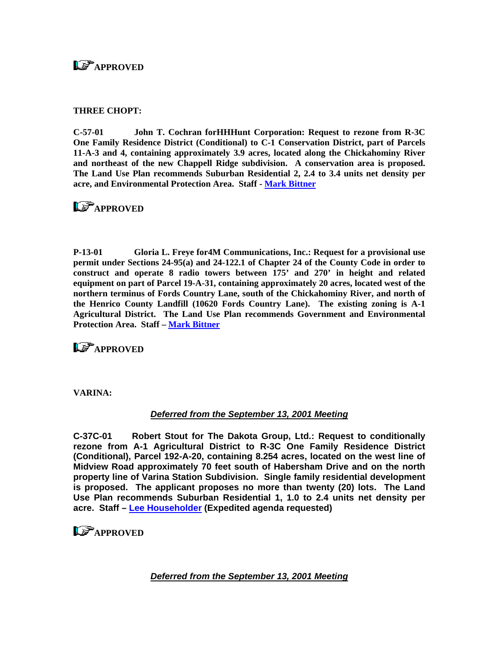## **LS** APPROVED

### **THREE CHOPT:**

**C-57-01 John T. Cochran forHHHunt Corporation: Request to rezone from R-3C One Family Residence District (Conditional) to C-1 Conservation District, part of Parcels 11-A-3 and 4, containing approximately 3.9 acres, located along the Chickahominy River and northeast of the new Chappell Ridge subdivision. A conservation area is proposed. The Land Use Plan recommends Suburban Residential 2, 2.4 to 3.4 units net density per acre, and Environmental Protection Area. Staff - [Mark Bittner](mailto:bit10@co.henrico.va.us)** 

## **LS**APPROVED

**P-13-01 Gloria L. Freye for4M Communications, Inc.: Request for a provisional use permit under Sections 24-95(a) and 24-122.1 of Chapter 24 of the County Code in order to construct and operate 8 radio towers between 175' and 270' in height and related equipment on part of Parcel 19-A-31, containing approximately 20 acres, located west of the northern terminus of Fords Country Lane, south of the Chickahominy River, and north of the Henrico County Landfill (10620 Fords Country Lane). The existing zoning is A-1 Agricultural District. The Land Use Plan recommends Government and Environmental Protection Area. Staff – [Mark Bittner](mailto:bit10@co.henrico.va.us)** 

**LS** APPROVED

**VARINA:** 

### *Deferred from the September 13, 2001 Meeting*

**C-37C-01 Robert Stout for The Dakota Group, Ltd.: Request to conditionally rezone from A-1 Agricultural District to R-3C One Family Residence District (Conditional), Parcel 192-A-20, containing 8.254 acres, located on the west line of Midview Road approximately 70 feet south of Habersham Drive and on the north property line of Varina Station Subdivision. Single family residential development is proposed. The applicant proposes no more than twenty (20) lots. The Land Use Plan recommends Suburban Residential 1, 1.0 to 2.4 units net density per acre. Staff – [Lee Householder](mailto:hou10@co.henrico.va.us) (Expedited agenda requested)** 

## **APPROVED**

*Deferred from the September 13, 2001 Meeting*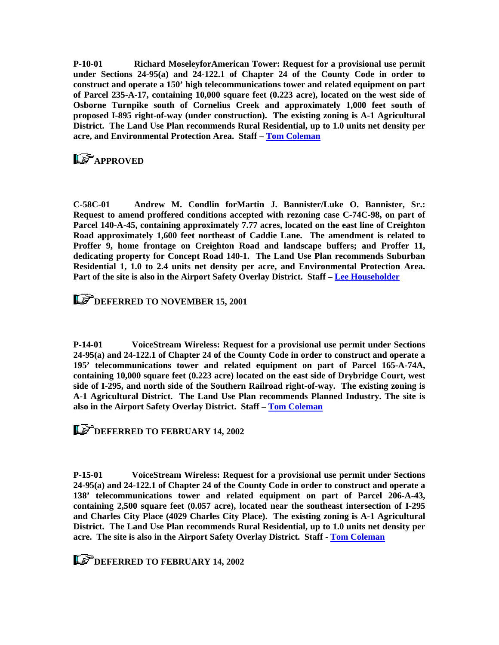**P-10-01 Richard MoseleyforAmerican Tower: Request for a provisional use permit under Sections 24-95(a) and 24-122.1 of Chapter 24 of the County Code in order to construct and operate a 150' high telecommunications tower and related equipment on part of Parcel 235-A-17, containing 10,000 square feet (0.223 acre), located on the west side of Osborne Turnpike south of Cornelius Creek and approximately 1,000 feet south of proposed I-895 right-of-way (under construction). The existing zoning is A-1 Agricultural District. The Land Use Plan recommends Rural Residential, up to 1.0 units net density per acre, and Environmental Protection Area. Staff – [Tom Coleman](mailto:col09@co.henrico.va.us)**

# **LS** APPROVED

**C-58C-01 Andrew M. Condlin forMartin J. Bannister/Luke O. Bannister, Sr.: Request to amend proffered conditions accepted with rezoning case C-74C-98, on part of Parcel 140-A-45, containing approximately 7.77 acres, located on the east line of Creighton Road approximately 1,600 feet northeast of Caddie Lane. The amendment is related to Proffer 9, home frontage on Creighton Road and landscape buffers; and Proffer 11, dedicating property for Concept Road 140-1. The Land Use Plan recommends Suburban Residential 1, 1.0 to 2.4 units net density per acre, and Environmental Protection Area. Part of the site is also in the Airport Safety Overlay District. Staff – [Lee Householder](mailto:hou10@co.henrico.va.us)** 

### **DEFERRED TO NOVEMBER 15, 2001**

**P-14-01 VoiceStream Wireless: Request for a provisional use permit under Sections 24-95(a) and 24-122.1 of Chapter 24 of the County Code in order to construct and operate a 195' telecommunications tower and related equipment on part of Parcel 165-A-74A, containing 10,000 square feet (0.223 acre) located on the east side of Drybridge Court, west side of I-295, and north side of the Southern Railroad right-of-way. The existing zoning is A-1 Agricultural District. The Land Use Plan recommends Planned Industry. The site is also in the Airport Safety Overlay District. Staff – [Tom Coleman](mailto:col09@co.henrico.va.us)** 

**LET DEFERRED TO FEBRUARY 14, 2002** 

**P-15-01 VoiceStream Wireless: Request for a provisional use permit under Sections 24-95(a) and 24-122.1 of Chapter 24 of the County Code in order to construct and operate a 138' telecommunications tower and related equipment on part of Parcel 206-A-43, containing 2,500 square feet (0.057 acre), located near the southeast intersection of I-295 and Charles City Place (4029 Charles City Place). The existing zoning is A-1 Agricultural District. The Land Use Plan recommends Rural Residential, up to 1.0 units net density per acre. The site is also in the Airport Safety Overlay District. Staff - [Tom Coleman](mailto:col09@co.henrico.va.us)** 

**LET DEFERRED TO FEBRUARY 14, 2002**